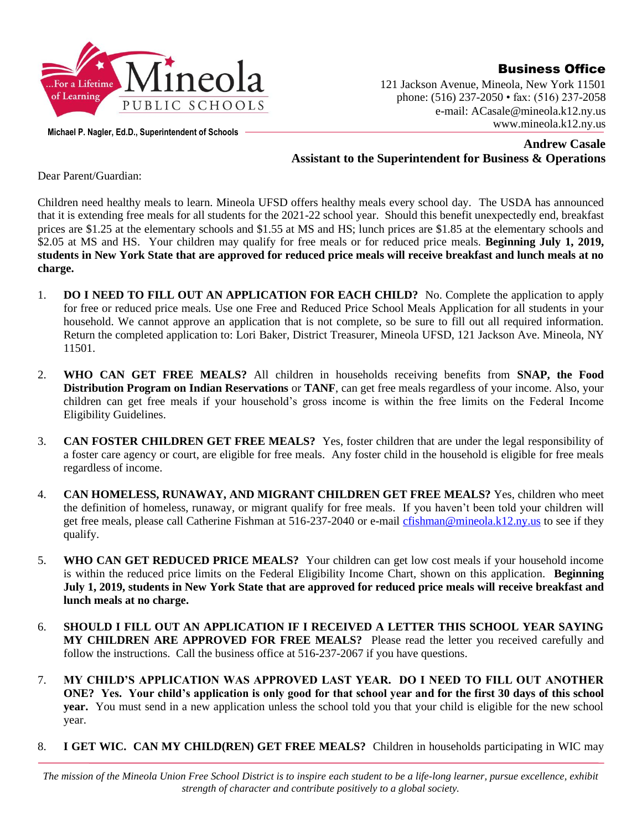

Business Office

121 Jackson Avenue, Mineola, New York 11501 phone: (516) 237-2050 • fax: (516) 237-2058 e-mail: ACasale@mineola.k12.ny.us www.mineola.k12.ny.us

**Michael P. Nagler, Ed.D., Superintendent of Schools**

**Andrew Casale Assistant to the Superintendent for Business & Operations**

Dear Parent/Guardian:

Children need healthy meals to learn. Mineola UFSD offers healthy meals every school day. The USDA has announced that it is extending free meals for all students for the 2021-22 school year. Should this benefit unexpectedly end, breakfast prices are \$1.25 at the elementary schools and \$1.55 at MS and HS; lunch prices are \$1.85 at the elementary schools and \$2.05 at MS and HS. Your children may qualify for free meals or for reduced price meals. **Beginning July 1, 2019, students in New York State that are approved for reduced price meals will receive breakfast and lunch meals at no charge.**

- 1. **DO I NEED TO FILL OUT AN APPLICATION FOR EACH CHILD?** No. Complete the application to apply for free or reduced price meals. Use one Free and Reduced Price School Meals Application for all students in your household. We cannot approve an application that is not complete, so be sure to fill out all required information. Return the completed application to: Lori Baker, District Treasurer, Mineola UFSD, 121 Jackson Ave. Mineola, NY 11501.
- 2. **WHO CAN GET FREE MEALS?** All children in households receiving benefits from **SNAP, the Food Distribution Program on Indian Reservations** or **TANF**, can get free meals regardless of your income. Also, your children can get free meals if your household's gross income is within the free limits on the Federal Income Eligibility Guidelines.
- 3. **CAN FOSTER CHILDREN GET FREE MEALS?** Yes, foster children that are under the legal responsibility of a foster care agency or court, are eligible for free meals. Any foster child in the household is eligible for free meals regardless of income.
- 4. **CAN HOMELESS, RUNAWAY, AND MIGRANT CHILDREN GET FREE MEALS?** Yes, children who meet the definition of homeless, runaway, or migrant qualify for free meals. If you haven't been told your children will get free meals, please call Catherine Fishman at 516-237-2040 or e-mail [cfishman@mineola.k12.ny.us](mailto:cfishman@mineola.k12.ny.us) to see if they qualify.
- 5. **WHO CAN GET REDUCED PRICE MEALS?** Your children can get low cost meals if your household income is within the reduced price limits on the Federal Eligibility Income Chart, shown on this application. **Beginning July 1, 2019, students in New York State that are approved for reduced price meals will receive breakfast and lunch meals at no charge.**
- 6. **SHOULD I FILL OUT AN APPLICATION IF I RECEIVED A LETTER THIS SCHOOL YEAR SAYING MY CHILDREN ARE APPROVED FOR FREE MEALS?** Please read the letter you received carefully and follow the instructions. Call the business office at 516-237-2067 if you have questions.
- 7. **MY CHILD'S APPLICATION WAS APPROVED LAST YEAR. DO I NEED TO FILL OUT ANOTHER ONE? Yes. Your child's application is only good for that school year and for the first 30 days of this school year.** You must send in a new application unless the school told you that your child is eligible for the new school year.
- 8. **I GET WIC. CAN MY CHILD(REN) GET FREE MEALS?** Children in households participating in WIC may

*The mission of the Mineola Union Free School District is to inspire each student to be a life-long learner, pursue excellence, exhibit strength of character and contribute positively to a global society.*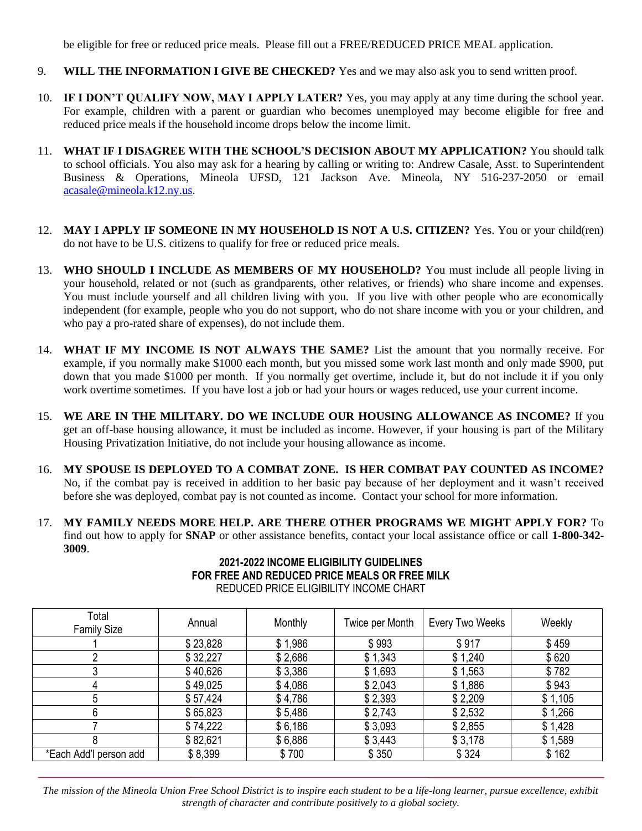be eligible for free or reduced price meals. Please fill out a FREE/REDUCED PRICE MEAL application.

- 9. **WILL THE INFORMATION I GIVE BE CHECKED?** Yes and we may also ask you to send written proof.
- 10. **IF I DON'T QUALIFY NOW, MAY I APPLY LATER?** Yes, you may apply at any time during the school year. For example, children with a parent or guardian who becomes unemployed may become eligible for free and reduced price meals if the household income drops below the income limit.
- 11. **WHAT IF I DISAGREE WITH THE SCHOOL'S DECISION ABOUT MY APPLICATION?** You should talk to school officials. You also may ask for a hearing by calling or writing to: Andrew Casale, Asst. to Superintendent Business & Operations, Mineola UFSD, 121 Jackson Ave. Mineola, NY 516-237-2050 or email [acasale@mineola.k12.ny.us.](mailto:acasale@mineola.k12.ny.us)
- 12. **MAY I APPLY IF SOMEONE IN MY HOUSEHOLD IS NOT A U.S. CITIZEN?** Yes. You or your child(ren) do not have to be U.S. citizens to qualify for free or reduced price meals.
- 13. **WHO SHOULD I INCLUDE AS MEMBERS OF MY HOUSEHOLD?** You must include all people living in your household, related or not (such as grandparents, other relatives, or friends) who share income and expenses. You must include yourself and all children living with you. If you live with other people who are economically independent (for example, people who you do not support, who do not share income with you or your children, and who pay a pro-rated share of expenses), do not include them.
- 14. **WHAT IF MY INCOME IS NOT ALWAYS THE SAME?** List the amount that you normally receive. For example, if you normally make \$1000 each month, but you missed some work last month and only made \$900, put down that you made \$1000 per month. If you normally get overtime, include it, but do not include it if you only work overtime sometimes. If you have lost a job or had your hours or wages reduced, use your current income.
- 15. **WE ARE IN THE MILITARY. DO WE INCLUDE OUR HOUSING ALLOWANCE AS INCOME?** If you get an off-base housing allowance, it must be included as income. However, if your housing is part of the Military Housing Privatization Initiative, do not include your housing allowance as income.
- 16. **MY SPOUSE IS DEPLOYED TO A COMBAT ZONE. IS HER COMBAT PAY COUNTED AS INCOME?** No, if the combat pay is received in addition to her basic pay because of her deployment and it wasn't received before she was deployed, combat pay is not counted as income. Contact your school for more information.
- 17. **MY FAMILY NEEDS MORE HELP. ARE THERE OTHER PROGRAMS WE MIGHT APPLY FOR?** To find out how to apply for **SNAP** or other assistance benefits, contact your local assistance office or call **1-800-342- 3009**.

| FOR FREE AND REDUCED PRICE MEALS OR FREE MILK<br>REDUCED PRICE ELIGIBILITY INCOME CHART |          |         |                 |                   |        |
|-----------------------------------------------------------------------------------------|----------|---------|-----------------|-------------------|--------|
| Total<br>Family Size                                                                    | Annual   | Monthly | Twice per Month | l Every Two Weeks | Weekly |
|                                                                                         | \$23,828 | 1,986   | \$993           | \$917             | \$459  |

2 \$ 32,227 \$ 2,686 \$ 1,343 \$ 1,240 \$ 620 3 \$ 40,626 | \$3,386 | \$1,693 | \$1,563 | \$782 4 \$ 49,025 | \$ 4,086 | \$ 2,043 | \$ 1,886 | \$ 943 5 \$ 57,424 \$ \$ 4,786 \$ 4,786 \$ 2,393 \$ 2,209 \$ 1,105 6 \$ 65,823 \$ 5,486 \$ 2,743 \$ 2,532 \$ 1,266 7 \$ 74,222 \$ 6,186 \$ 3,093 \$ 2,855 \$ 1,428 8 \$ 82,621 \$ 6,886 \$ 3,443 \$ 3,178 \$ 3,178

## **2021-2022 INCOME ELIGIBILITY GUIDELINES**

*The mission of the Mineola Union Free School District is to inspire each student to be a life-long learner, pursue excellence, exhibit strength of character and contribute positively to a global society.*

\*Each Add'l person add | \$ 8,399 | \$ 700 | \$ 350 | \$ 324 | \$ 162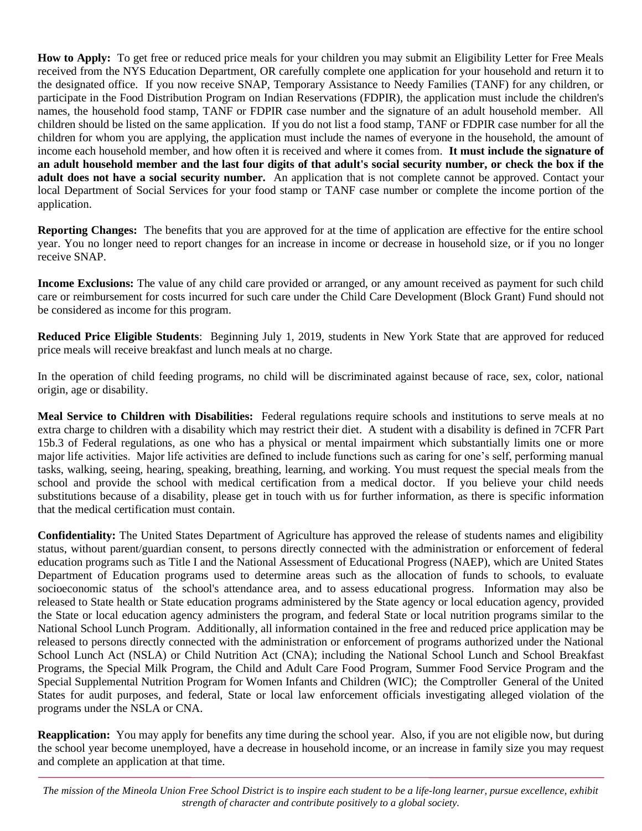**How to Apply:** To get free or reduced price meals for your children you may submit an Eligibility Letter for Free Meals received from the NYS Education Department, OR carefully complete one application for your household and return it to the designated office. If you now receive SNAP, Temporary Assistance to Needy Families (TANF) for any children, or participate in the Food Distribution Program on Indian Reservations (FDPIR), the application must include the children's names, the household food stamp, TANF or FDPIR case number and the signature of an adult household member. All children should be listed on the same application. If you do not list a food stamp, TANF or FDPIR case number for all the children for whom you are applying, the application must include the names of everyone in the household, the amount of income each household member, and how often it is received and where it comes from. **It must include the signature of an adult household member and the last four digits of that adult's social security number, or check the box if the adult does not have a social security number.** An application that is not complete cannot be approved. Contact your local Department of Social Services for your food stamp or TANF case number or complete the income portion of the application.

**Reporting Changes:** The benefits that you are approved for at the time of application are effective for the entire school year. You no longer need to report changes for an increase in income or decrease in household size, or if you no longer receive SNAP.

**Income Exclusions:** The value of any child care provided or arranged, or any amount received as payment for such child care or reimbursement for costs incurred for such care under the Child Care Development (Block Grant) Fund should not be considered as income for this program.

**Reduced Price Eligible Students**: Beginning July 1, 2019, students in New York State that are approved for reduced price meals will receive breakfast and lunch meals at no charge.

In the operation of child feeding programs, no child will be discriminated against because of race, sex, color, national origin, age or disability.

**Meal Service to Children with Disabilities:** Federal regulations require schools and institutions to serve meals at no extra charge to children with a disability which may restrict their diet. A student with a disability is defined in 7CFR Part 15b.3 of Federal regulations, as one who has a physical or mental impairment which substantially limits one or more major life activities. Major life activities are defined to include functions such as caring for one's self, performing manual tasks, walking, seeing, hearing, speaking, breathing, learning, and working. You must request the special meals from the school and provide the school with medical certification from a medical doctor. If you believe your child needs substitutions because of a disability, please get in touch with us for further information, as there is specific information that the medical certification must contain.

**Confidentiality:** The United States Department of Agriculture has approved the release of students names and eligibility status, without parent/guardian consent, to persons directly connected with the administration or enforcement of federal education programs such as Title I and the National Assessment of Educational Progress (NAEP), which are United States Department of Education programs used to determine areas such as the allocation of funds to schools, to evaluate socioeconomic status of the school's attendance area, and to assess educational progress. Information may also be released to State health or State education programs administered by the State agency or local education agency, provided the State or local education agency administers the program, and federal State or local nutrition programs similar to the National School Lunch Program. Additionally, all information contained in the free and reduced price application may be released to persons directly connected with the administration or enforcement of programs authorized under the National School Lunch Act (NSLA) or Child Nutrition Act (CNA); including the National School Lunch and School Breakfast Programs, the Special Milk Program, the Child and Adult Care Food Program, Summer Food Service Program and the Special Supplemental Nutrition Program for Women Infants and Children (WIC); the Comptroller General of the United States for audit purposes, and federal, State or local law enforcement officials investigating alleged violation of the programs under the NSLA or CNA.

**Reapplication:** You may apply for benefits any time during the school year. Also, if you are not eligible now, but during the school year become unemployed, have a decrease in household income, or an increase in family size you may request and complete an application at that time.

*The mission of the Mineola Union Free School District is to inspire each student to be a life-long learner, pursue excellence, exhibit strength of character and contribute positively to a global society.*